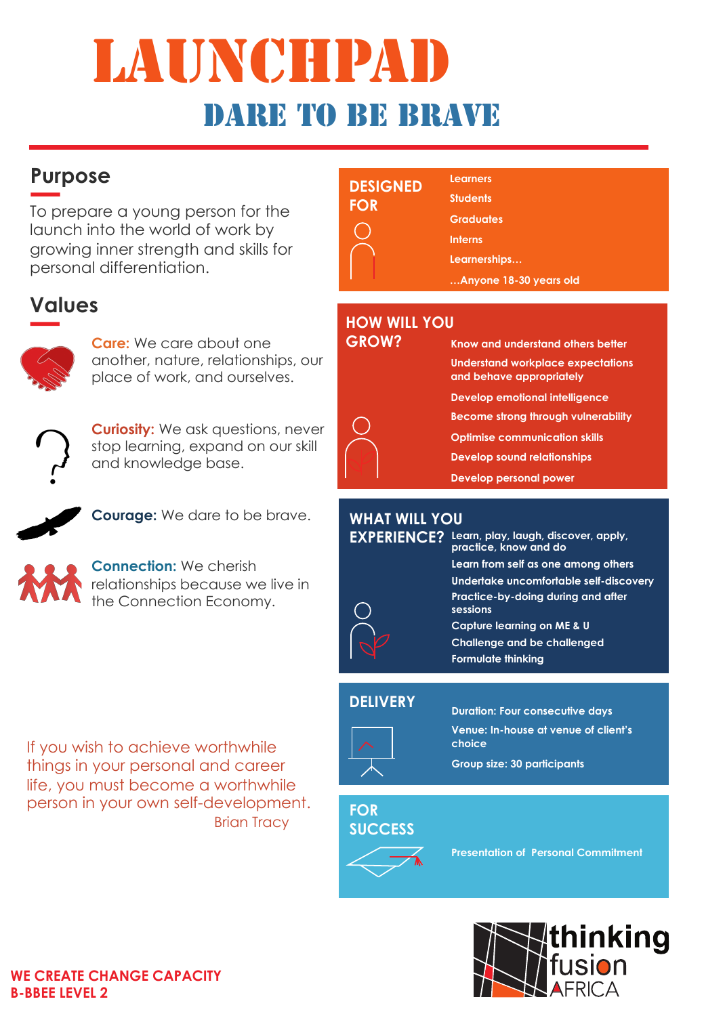# LAUNCHPA dare to be brave

## **Purpose**

To prepare a young person for the launch into the world of work by growing inner strength and skills for personal differentiation.

## **Values**



**Care:** We care about one another, nature, relationships, our place of work, and ourselves.



**Curiosity:** We ask questions, never stop learning, expand on our skill and knowledge base.



**Courage:** We dare to be brave.



**Connection:** We cherish relationships because we live in the Connection Economy.

If you wish to achieve worthwhile things in your personal and career life, you must become a worthwhile person in your own self-development. **Brian Tracy** 

| <b>DESIGNED</b><br><b>FOR</b> | <b>Learners</b><br><b>Students</b><br><b>Graduates</b><br><b>Interns</b><br>Learnerships<br>Anyone 18-30 years old |  |
|-------------------------------|--------------------------------------------------------------------------------------------------------------------|--|
|                               |                                                                                                                    |  |

### **HOW WILL YOU**

| <b>GROW?</b> | Know and understand others better                             |
|--------------|---------------------------------------------------------------|
|              | Understand workplace expectations<br>and behave appropriately |
|              | Develop emotional intelligence                                |
|              | <b>Become strong through vulnerability</b>                    |
|              | <b>Optimise communication skills</b>                          |
|              | <b>Develop sound relationships</b>                            |
|              | <b>Develop personal power</b>                                 |

#### **WHAT WILL YOU**

| <b>EXPERIENCE?</b> | Learn, play, laugh, discover, apply,<br>practice, know and do |
|--------------------|---------------------------------------------------------------|
|                    | Learn from self as one among others                           |
|                    | Undertake uncomfortable self-discovery                        |
|                    | Practice-by-doing during and after<br>sessions                |
|                    | Capture learning on ME & U                                    |
|                    | <b>Challenge and be challenged</b>                            |
|                    | <b>Formulate thinking</b>                                     |

#### **DELIVERY**



**Duration: Four consecutive days Venue: In-house at venue of client's choice**

**Group size: 30 participants**

#### **FOR SUCCESS**



**Presentation of Personal Commitment**



#### **WE CREATE CHANGE CAPACITY B-BBEE LEVEL 2**